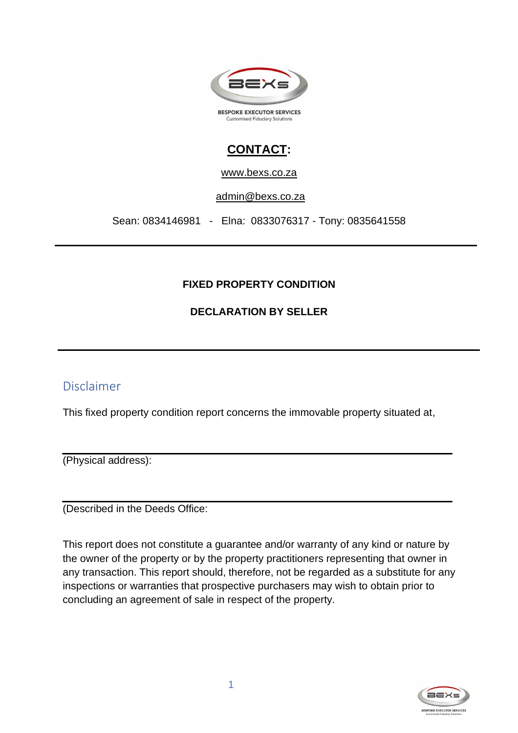

## **CONTACT:**

www.bexs.co.za

[admin@bexs.co.za](mailto:admin@bexs.co.za)

Sean: 0834146981 - Elna: 0833076317 - Tony: 0835641558

#### **FIXED PROPERTY CONDITION**

#### **DECLARATION BY SELLER**

### Disclaimer

This fixed property condition report concerns the immovable property situated at,

(Physical address):

(Described in the Deeds Office:

This report does not constitute a guarantee and/or warranty of any kind or nature by the owner of the property or by the property practitioners representing that owner in any transaction. This report should, therefore, not be regarded as a substitute for any inspections or warranties that prospective purchasers may wish to obtain prior to concluding an agreement of sale in respect of the property.

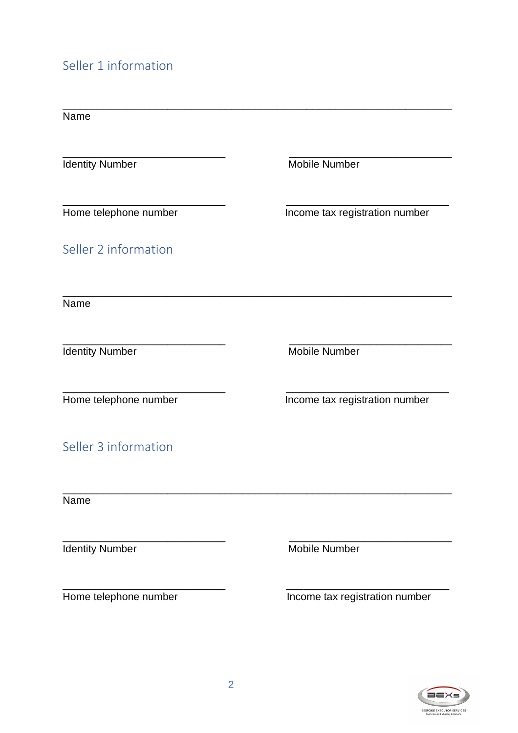# Seller 1 information

| Name                   |                                |
|------------------------|--------------------------------|
| <b>Identity Number</b> | <b>Mobile Number</b>           |
| Home telephone number  | Income tax registration number |
| Seller 2 information   |                                |
| Name                   |                                |
| <b>Identity Number</b> | <b>Mobile Number</b>           |
| Home telephone number  | Income tax registration number |
| Seller 3 information   |                                |
| Name                   |                                |
| <b>Identity Number</b> | Mobile Number                  |
| Home telephone number  | Income tax registration number |

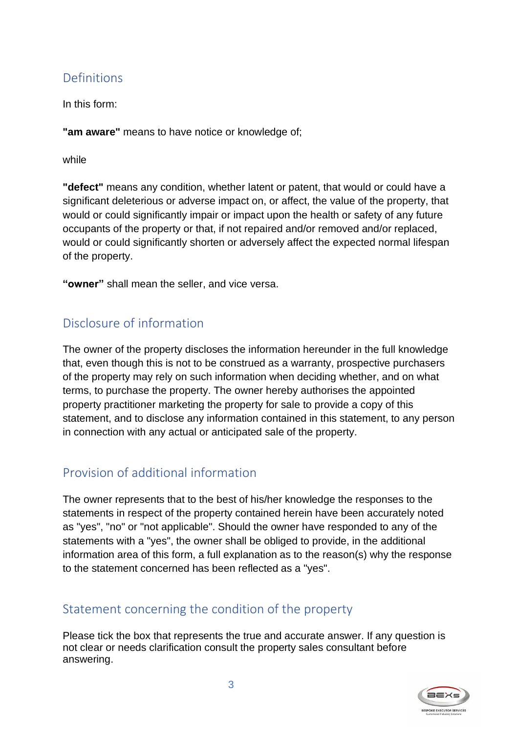## Definitions

In this form:

**"am aware"** means to have notice or knowledge of;

while

**"defect"** means any condition, whether latent or patent, that would or could have a significant deleterious or adverse impact on, or affect, the value of the property, that would or could significantly impair or impact upon the health or safety of any future occupants of the property or that, if not repaired and/or removed and/or replaced, would or could significantly shorten or adversely affect the expected normal lifespan of the property.

**"owner"** shall mean the seller, and vice versa.

## Disclosure of information

The owner of the property discloses the information hereunder in the full knowledge that, even though this is not to be construed as a warranty, prospective purchasers of the property may rely on such information when deciding whether, and on what terms, to purchase the property. The owner hereby authorises the appointed property practitioner marketing the property for sale to provide a copy of this statement, and to disclose any information contained in this statement, to any person in connection with any actual or anticipated sale of the property.

## Provision of additional information

The owner represents that to the best of his/her knowledge the responses to the statements in respect of the property contained herein have been accurately noted as "yes", "no" or "not applicable". Should the owner have responded to any of the statements with a "yes", the owner shall be obliged to provide, in the additional information area of this form, a full explanation as to the reason(s) why the response to the statement concerned has been reflected as a "yes".

## Statement concerning the condition of the property

Please tick the box that represents the true and accurate answer. If any question is not clear or needs clarification consult the property sales consultant before answering.

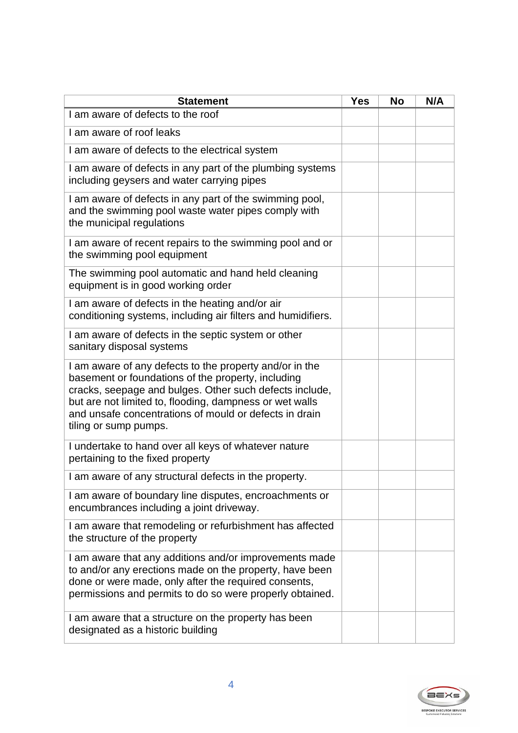| <b>Statement</b>                                                                                                                                                                                                                                                                                                       | <b>Yes</b> | <b>No</b> | N/A |
|------------------------------------------------------------------------------------------------------------------------------------------------------------------------------------------------------------------------------------------------------------------------------------------------------------------------|------------|-----------|-----|
| I am aware of defects to the roof                                                                                                                                                                                                                                                                                      |            |           |     |
| I am aware of roof leaks                                                                                                                                                                                                                                                                                               |            |           |     |
| I am aware of defects to the electrical system                                                                                                                                                                                                                                                                         |            |           |     |
| I am aware of defects in any part of the plumbing systems<br>including geysers and water carrying pipes                                                                                                                                                                                                                |            |           |     |
| I am aware of defects in any part of the swimming pool,<br>and the swimming pool waste water pipes comply with<br>the municipal regulations                                                                                                                                                                            |            |           |     |
| I am aware of recent repairs to the swimming pool and or<br>the swimming pool equipment                                                                                                                                                                                                                                |            |           |     |
| The swimming pool automatic and hand held cleaning<br>equipment is in good working order                                                                                                                                                                                                                               |            |           |     |
| I am aware of defects in the heating and/or air<br>conditioning systems, including air filters and humidifiers.                                                                                                                                                                                                        |            |           |     |
| I am aware of defects in the septic system or other<br>sanitary disposal systems                                                                                                                                                                                                                                       |            |           |     |
| I am aware of any defects to the property and/or in the<br>basement or foundations of the property, including<br>cracks, seepage and bulges. Other such defects include,<br>but are not limited to, flooding, dampness or wet walls<br>and unsafe concentrations of mould or defects in drain<br>tiling or sump pumps. |            |           |     |
| I undertake to hand over all keys of whatever nature<br>pertaining to the fixed property                                                                                                                                                                                                                               |            |           |     |
| I am aware of any structural defects in the property.                                                                                                                                                                                                                                                                  |            |           |     |
| I am aware of boundary line disputes, encroachments or<br>encumbrances including a joint driveway.                                                                                                                                                                                                                     |            |           |     |
| I am aware that remodeling or refurbishment has affected<br>the structure of the property                                                                                                                                                                                                                              |            |           |     |
| I am aware that any additions and/or improvements made<br>to and/or any erections made on the property, have been<br>done or were made, only after the required consents,<br>permissions and permits to do so were properly obtained.                                                                                  |            |           |     |
| I am aware that a structure on the property has been<br>designated as a historic building                                                                                                                                                                                                                              |            |           |     |

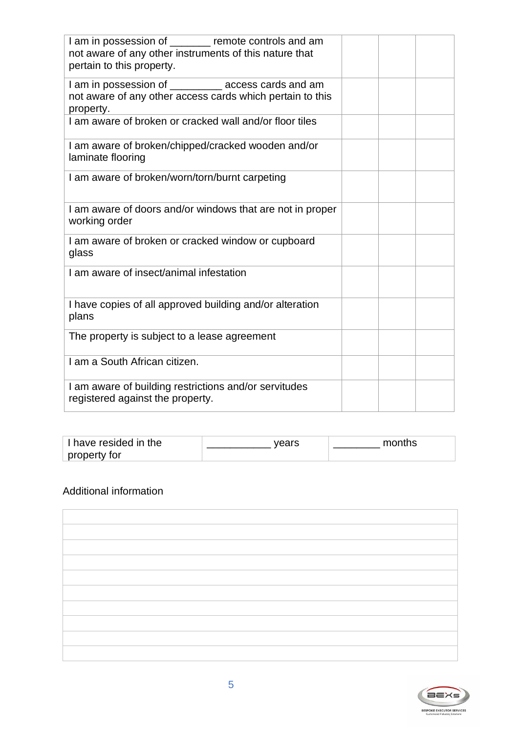| I am in possession of _______ remote controls and am<br>not aware of any other instruments of this nature that<br>pertain to this property. |  |  |
|---------------------------------------------------------------------------------------------------------------------------------------------|--|--|
| I am in possession of _________ access cards and am<br>not aware of any other access cards which pertain to this<br>property.               |  |  |
| I am aware of broken or cracked wall and/or floor tiles                                                                                     |  |  |
| I am aware of broken/chipped/cracked wooden and/or<br>laminate flooring                                                                     |  |  |
| I am aware of broken/worn/torn/burnt carpeting                                                                                              |  |  |
| I am aware of doors and/or windows that are not in proper<br>working order                                                                  |  |  |
| I am aware of broken or cracked window or cupboard<br>glass                                                                                 |  |  |
| I am aware of insect/animal infestation                                                                                                     |  |  |
| I have copies of all approved building and/or alteration<br>plans                                                                           |  |  |
| The property is subject to a lease agreement                                                                                                |  |  |
| I am a South African citizen.                                                                                                               |  |  |
| I am aware of building restrictions and/or servitudes<br>registered against the property.                                                   |  |  |

| I have resided in the | vears | months |
|-----------------------|-------|--------|
| property for          |       |        |

#### Additional information



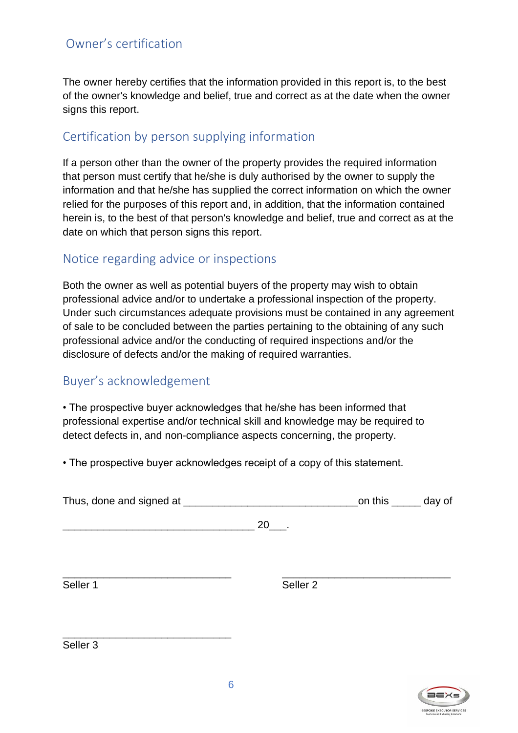## Owner's certification

The owner hereby certifies that the information provided in this report is, to the best of the owner's knowledge and belief, true and correct as at the date when the owner signs this report.

## Certification by person supplying information

If a person other than the owner of the property provides the required information that person must certify that he/she is duly authorised by the owner to supply the information and that he/she has supplied the correct information on which the owner relied for the purposes of this report and, in addition, that the information contained herein is, to the best of that person's knowledge and belief, true and correct as at the date on which that person signs this report.

### Notice regarding advice or inspections

Both the owner as well as potential buyers of the property may wish to obtain professional advice and/or to undertake a professional inspection of the property. Under such circumstances adequate provisions must be contained in any agreement of sale to be concluded between the parties pertaining to the obtaining of any such professional advice and/or the conducting of required inspections and/or the disclosure of defects and/or the making of required warranties.

### Buyer's acknowledgement

• The prospective buyer acknowledges that he/she has been informed that professional expertise and/or technical skill and knowledge may be required to detect defects in, and non-compliance aspects concerning, the property.

• The prospective buyer acknowledges receipt of a copy of this statement.

| Thus, done and signed at | on this ______ day of |  |
|--------------------------|-----------------------|--|
|                          |                       |  |

\_\_\_\_\_\_\_\_\_\_\_\_\_\_\_\_\_\_\_\_\_\_\_\_\_\_\_\_\_\_\_\_\_ 20\_\_\_.

\_\_\_\_\_\_\_\_\_\_\_\_\_\_\_\_\_\_\_\_\_\_\_\_\_\_\_\_\_

\_\_\_\_\_\_\_\_\_\_\_\_\_\_\_\_\_\_\_\_\_\_\_\_\_\_\_\_\_ \_\_\_\_\_\_\_\_\_\_\_\_\_\_\_\_\_\_\_\_\_\_\_\_\_\_\_\_\_ Seller 1 Seller 2

Seller 3